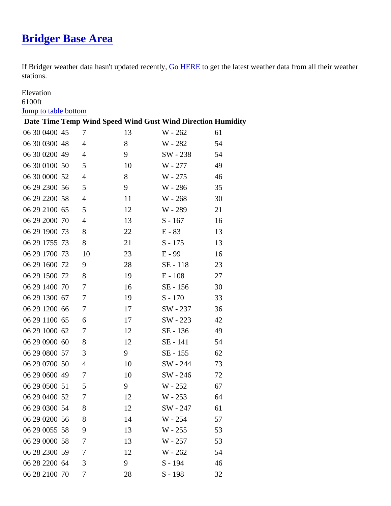## [Bridger Base Area](https://www.mtavalanche.com/weather/stations/bridger-base-area)

If Bridger weather data hasn't updated recerty, HERE to get the latest weather data from all their weather stations.

## Elevation

## 6100ft

## [Jump to table botto](#page-1-0)m

Date Time Temp Wind SpeedWind Gust Wind Direction Humidity

| 06 300400 45 | $\overline{7}$ | 13 | W - 262   | 61 |
|--------------|----------------|----|-----------|----|
| 06 300300 48 | 4              | 8  | W - 282   | 54 |
| 06 300200 49 | 4              | 9  | SW - 238  | 54 |
| 06 300100 50 | 5              | 10 | W - 277   | 49 |
| 06 300000 52 | 4              | 8  | W - 275   | 46 |
| 06 292300 56 | 5              | 9  | W - 286   | 35 |
| 06 292200 58 | 4              | 11 | W - 268   | 30 |
| 06 292100 65 | 5              | 12 | W - 289   | 21 |
| 06 292000 70 | 4              | 13 | S - 167   | 16 |
| 06 291900 73 | 8              | 22 | $E - 83$  | 13 |
| 06 291755 73 | 8              | 21 | $S - 175$ | 13 |
| 06 291700 73 | 10             | 23 | $E - 99$  | 16 |
| 06 291600 72 | 9              | 28 | SE - 118  | 23 |
| 06 291500 72 | 8              | 19 | $E - 108$ | 27 |
| 06 291400 70 | 7              | 16 | SE - 156  | 30 |
| 06 291300 67 | 7              | 19 | $S - 170$ | 33 |
| 06 291200 66 | 7              | 17 | SW - 237  | 36 |
| 06 291100 65 | 6              | 17 | SW - 223  | 42 |
| 06 291000 62 | 7              | 12 | SE - 136  | 49 |
| 06 290900 60 | 8              | 12 | SE - 141  | 54 |
| 06 290800 57 | 3              | 9  | SE - 155  | 62 |
| 06 290700 50 | 4              | 10 | SW - 244  | 73 |
| 06 290600 49 | $\overline{7}$ | 10 | SW - 246  | 72 |
| 06 290500 51 | 5              | 9  | W - 252   | 67 |
| 06 290400 52 | 7              | 12 | W - 253   | 64 |
| 06 290300 54 | 8              | 12 | SW - 247  | 61 |
| 06 290200 56 | 8              | 14 | W - 254   | 57 |
| 06 290055 58 | 9              | 13 | W - 255   | 53 |
| 06 290000 58 | 7              | 13 | W - 257   | 53 |
| 06 282300 59 | 7              | 12 | W - 262   | 54 |
| 06 282200 64 | 3              | 9  | $S - 194$ | 46 |
| 06 282100 70 | 7              | 28 | $S - 198$ | 32 |